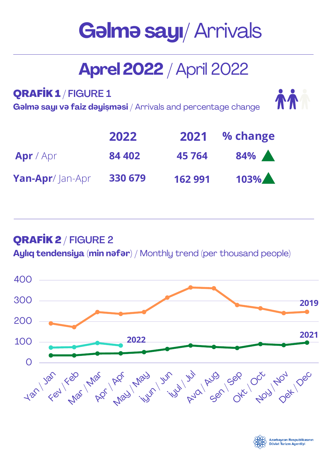# **Gəlməsayı**/ Arrivals

# **Aprel2022** / April 2022

QRAFİK 1 / FIGURE 1

**Gəlmə sayı və faiz dəyişməsi** / Arrivals and percentage change

| <b>TA</b> |  |
|-----------|--|
|           |  |

|                 | 2022    | 2021    | % change |
|-----------------|---------|---------|----------|
| Apr/Apr         | 84 402  | 45 7 64 | 84%      |
| Yan-Apr/Jan-Apr | 330 679 | 162 991 | 103%     |

## QRAFİK 2 / FIGURE 2

**Aylıq tendensiya (min nəfər)** / Monthly trend (per thousand people)